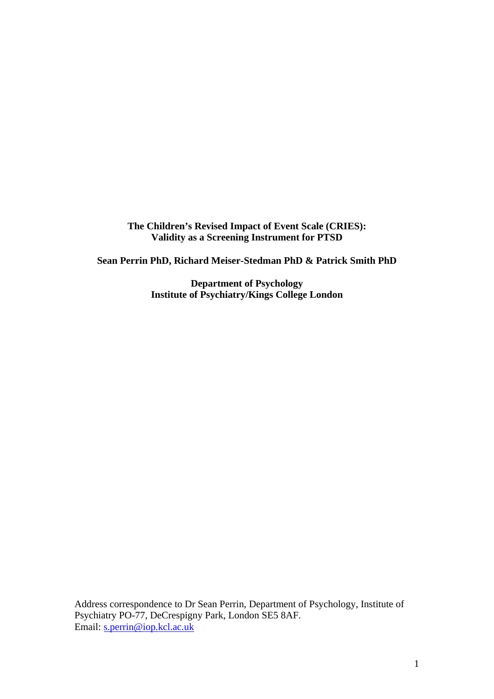**The Children's Revised Impact of Event Scale (CRIES): Validity as a Screening Instrument for PTSD** 

**Sean Perrin PhD, Richard Meiser-Stedman PhD & Patrick Smith PhD** 

**Department of Psychology Institute of Psychiatry/Kings College London** 

Address correspondence to Dr Sean Perrin, Department of Psychology, Institute of Psychiatry PO-77, DeCrespigny Park, London SE5 8AF. Email: s.perrin@iop.kcl.ac.uk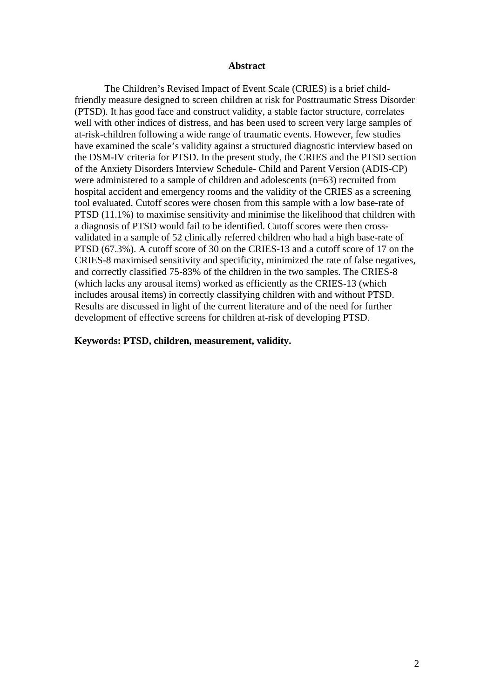# **Abstract**

The Children's Revised Impact of Event Scale (CRIES) is a brief childfriendly measure designed to screen children at risk for Posttraumatic Stress Disorder (PTSD). It has good face and construct validity, a stable factor structure, correlates well with other indices of distress, and has been used to screen very large samples of at-risk-children following a wide range of traumatic events. However, few studies have examined the scale's validity against a structured diagnostic interview based on the DSM-IV criteria for PTSD. In the present study, the CRIES and the PTSD section of the Anxiety Disorders Interview Schedule- Child and Parent Version (ADIS-CP) were administered to a sample of children and adolescents (n=63) recruited from hospital accident and emergency rooms and the validity of the CRIES as a screening tool evaluated. Cutoff scores were chosen from this sample with a low base-rate of PTSD (11.1%) to maximise sensitivity and minimise the likelihood that children with a diagnosis of PTSD would fail to be identified. Cutoff scores were then crossvalidated in a sample of 52 clinically referred children who had a high base-rate of PTSD (67.3%). A cutoff score of 30 on the CRIES-13 and a cutoff score of 17 on the CRIES-8 maximised sensitivity and specificity, minimized the rate of false negatives, and correctly classified 75-83% of the children in the two samples. The CRIES-8 (which lacks any arousal items) worked as efficiently as the CRIES-13 (which includes arousal items) in correctly classifying children with and without PTSD. Results are discussed in light of the current literature and of the need for further development of effective screens for children at-risk of developing PTSD.

# **Keywords: PTSD, children, measurement, validity.**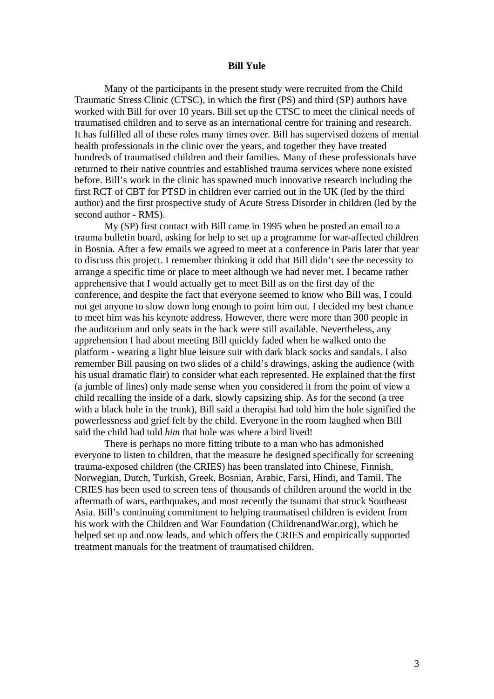## **Bill Yule**

Many of the participants in the present study were recruited from the Child Traumatic Stress Clinic (CTSC), in which the first (PS) and third (SP) authors have worked with Bill for over 10 years. Bill set up the CTSC to meet the clinical needs of traumatised children and to serve as an international centre for training and research. It has fulfilled all of these roles many times over. Bill has supervised dozens of mental health professionals in the clinic over the years, and together they have treated hundreds of traumatised children and their families. Many of these professionals have returned to their native countries and established trauma services where none existed before. Bill's work in the clinic has spawned much innovative research including the first RCT of CBT for PTSD in children ever carried out in the UK (led by the third author) and the first prospective study of Acute Stress Disorder in children (led by the second author - RMS).

My (SP) first contact with Bill came in 1995 when he posted an email to a trauma bulletin board, asking for help to set up a programme for war-affected children in Bosnia. After a few emails we agreed to meet at a conference in Paris later that year to discuss this project. I remember thinking it odd that Bill didn't see the necessity to arrange a specific time or place to meet although we had never met. I became rather apprehensive that I would actually get to meet Bill as on the first day of the conference, and despite the fact that everyone seemed to know who Bill was, I could not get anyone to slow down long enough to point him out. I decided my best chance to meet him was his keynote address. However, there were more than 300 people in the auditorium and only seats in the back were still available. Nevertheless, any apprehension I had about meeting Bill quickly faded when he walked onto the platform - wearing a light blue leisure suit with dark black socks and sandals. I also remember Bill pausing on two slides of a child's drawings, asking the audience (with his usual dramatic flair) to consider what each represented. He explained that the first (a jumble of lines) only made sense when you considered it from the point of view a child recalling the inside of a dark, slowly capsizing ship. As for the second (a tree with a black hole in the trunk), Bill said a therapist had told him the hole signified the powerlessness and grief felt by the child. Everyone in the room laughed when Bill said the child had told *him* that hole was where a bird lived!

There is perhaps no more fitting tribute to a man who has admonished everyone to listen to children, that the measure he designed specifically for screening trauma-exposed children (the CRIES) has been translated into Chinese, Finnish, Norwegian, Dutch, Turkish, Greek, Bosnian, Arabic, Farsi, Hindi, and Tamil. The CRIES has been used to screen tens of thousands of children around the world in the aftermath of wars, earthquakes, and most recently the tsunami that struck Southeast Asia. Bill's continuing commitment to helping traumatised children is evident from his work with the Children and War Foundation (ChildrenandWar.org), which he helped set up and now leads, and which offers the CRIES and empirically supported treatment manuals for the treatment of traumatised children.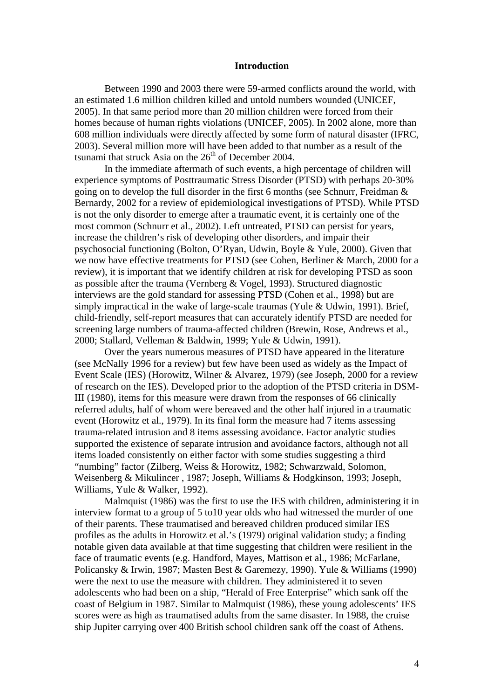## **Introduction**

Between 1990 and 2003 there were 59-armed conflicts around the world, with an estimated 1.6 million children killed and untold numbers wounded (UNICEF, 2005). In that same period more than 20 million children were forced from their homes because of human rights violations (UNICEF, 2005). In 2002 alone, more than 608 million individuals were directly affected by some form of natural disaster (IFRC, 2003). Several million more will have been added to that number as a result of the tsunami that struck Asia on the  $26<sup>th</sup>$  of December 2004.

In the immediate aftermath of such events, a high percentage of children will experience symptoms of Posttraumatic Stress Disorder (PTSD) with perhaps 20-30% going on to develop the full disorder in the first 6 months (see Schnurr, Freidman & Bernardy, 2002 for a review of epidemiological investigations of PTSD). While PTSD is not the only disorder to emerge after a traumatic event, it is certainly one of the most common (Schnurr et al., 2002). Left untreated, PTSD can persist for years, increase the children's risk of developing other disorders, and impair their psychosocial functioning (Bolton, O'Ryan, Udwin, Boyle & Yule, 2000). Given that we now have effective treatments for PTSD (see Cohen, Berliner & March, 2000 for a review), it is important that we identify children at risk for developing PTSD as soon as possible after the trauma (Vernberg & Vogel, 1993). Structured diagnostic interviews are the gold standard for assessing PTSD (Cohen et al., 1998) but are simply impractical in the wake of large-scale traumas (Yule & Udwin, 1991). Brief, child-friendly, self-report measures that can accurately identify PTSD are needed for screening large numbers of trauma-affected children (Brewin, Rose, Andrews et al., 2000; Stallard, Velleman & Baldwin, 1999; Yule & Udwin, 1991).

Over the years numerous measures of PTSD have appeared in the literature (see McNally 1996 for a review) but few have been used as widely as the Impact of Event Scale (IES) (Horowitz, Wilner & Alvarez, 1979) (see Joseph, 2000 for a review of research on the IES). Developed prior to the adoption of the PTSD criteria in DSM-III (1980), items for this measure were drawn from the responses of 66 clinically referred adults, half of whom were bereaved and the other half injured in a traumatic event (Horowitz et al., 1979). In its final form the measure had 7 items assessing trauma-related intrusion and 8 items assessing avoidance. Factor analytic studies supported the existence of separate intrusion and avoidance factors, although not all items loaded consistently on either factor with some studies suggesting a third "numbing" factor (Zilberg, Weiss & Horowitz, 1982; Schwarzwald, Solomon, Weisenberg & Mikulincer , 1987; Joseph, Williams & Hodgkinson, 1993; Joseph, Williams, Yule & Walker, 1992).

Malmquist (1986) was the first to use the IES with children, administering it in interview format to a group of 5 to10 year olds who had witnessed the murder of one of their parents. These traumatised and bereaved children produced similar IES profiles as the adults in Horowitz et al.'s (1979) original validation study; a finding notable given data available at that time suggesting that children were resilient in the face of traumatic events (e.g. Handford, Mayes, Mattison et al., 1986; McFarlane, Policansky & Irwin, 1987; Masten Best & Garemezy, 1990). Yule & Williams (1990) were the next to use the measure with children. They administered it to seven adolescents who had been on a ship, "Herald of Free Enterprise" which sank off the coast of Belgium in 1987. Similar to Malmquist (1986), these young adolescents' IES scores were as high as traumatised adults from the same disaster. In 1988, the cruise ship Jupiter carrying over 400 British school children sank off the coast of Athens.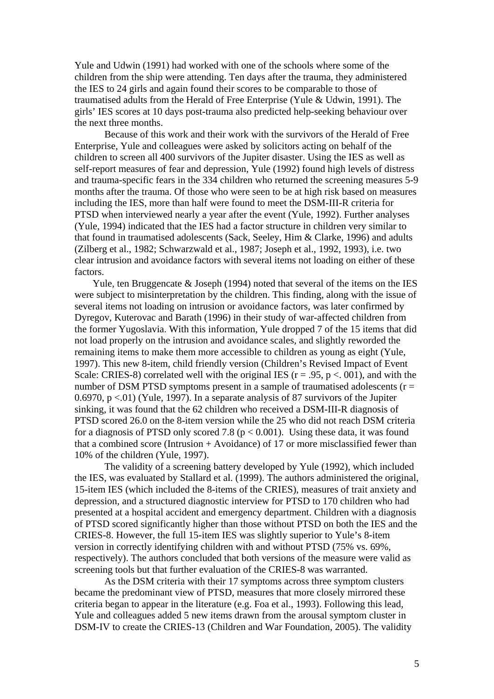Yule and Udwin (1991) had worked with one of the schools where some of the children from the ship were attending. Ten days after the trauma, they administered the IES to 24 girls and again found their scores to be comparable to those of traumatised adults from the Herald of Free Enterprise (Yule & Udwin, 1991). The girls' IES scores at 10 days post-trauma also predicted help-seeking behaviour over the next three months.

Because of this work and their work with the survivors of the Herald of Free Enterprise, Yule and colleagues were asked by solicitors acting on behalf of the children to screen all 400 survivors of the Jupiter disaster. Using the IES as well as self-report measures of fear and depression, Yule (1992) found high levels of distress and trauma-specific fears in the 334 children who returned the screening measures 5-9 months after the trauma. Of those who were seen to be at high risk based on measures including the IES, more than half were found to meet the DSM-III-R criteria for PTSD when interviewed nearly a year after the event (Yule, 1992). Further analyses (Yule, 1994) indicated that the IES had a factor structure in children very similar to that found in traumatised adolescents (Sack, Seeley, Him & Clarke, 1996) and adults (Zilberg et al., 1982; Schwarzwald et al., 1987; Joseph et al., 1992, 1993), i.e. two clear intrusion and avoidance factors with several items not loading on either of these factors.

Yule, ten Bruggencate & Joseph (1994) noted that several of the items on the IES were subject to misinterpretation by the children. This finding, along with the issue of several items not loading on intrusion or avoidance factors, was later confirmed by Dyregov, Kuterovac and Barath (1996) in their study of war-affected children from the former Yugoslavia. With this information, Yule dropped 7 of the 15 items that did not load properly on the intrusion and avoidance scales, and slightly reworded the remaining items to make them more accessible to children as young as eight (Yule, 1997). This new 8-item, child friendly version (Children's Revised Impact of Event Scale: CRIES-8) correlated well with the original IES ( $r = .95$ ,  $p < .001$ ), and with the number of DSM PTSD symptoms present in a sample of traumatised adolescents ( $r =$ 0.6970,  $p \le 01$ ) (Yule, 1997). In a separate analysis of 87 survivors of the Jupiter sinking, it was found that the 62 children who received a DSM-III-R diagnosis of PTSD scored 26.0 on the 8-item version while the 25 who did not reach DSM criteria for a diagnosis of PTSD only scored 7.8 ( $p < 0.001$ ). Using these data, it was found that a combined score (Intrusion + Avoidance) of 17 or more misclassified fewer than 10% of the children (Yule, 1997).

The validity of a screening battery developed by Yule (1992), which included the IES, was evaluated by Stallard et al. (1999). The authors administered the original, 15-item IES (which included the 8-items of the CRIES), measures of trait anxiety and depression, and a structured diagnostic interview for PTSD to 170 children who had presented at a hospital accident and emergency department. Children with a diagnosis of PTSD scored significantly higher than those without PTSD on both the IES and the CRIES-8. However, the full 15-item IES was slightly superior to Yule's 8-item version in correctly identifying children with and without PTSD (75% vs. 69%, respectively). The authors concluded that both versions of the measure were valid as screening tools but that further evaluation of the CRIES-8 was warranted.

As the DSM criteria with their 17 symptoms across three symptom clusters became the predominant view of PTSD, measures that more closely mirrored these criteria began to appear in the literature (e.g. Foa et al., 1993). Following this lead, Yule and colleagues added 5 new items drawn from the arousal symptom cluster in DSM-IV to create the CRIES-13 (Children and War Foundation, 2005). The validity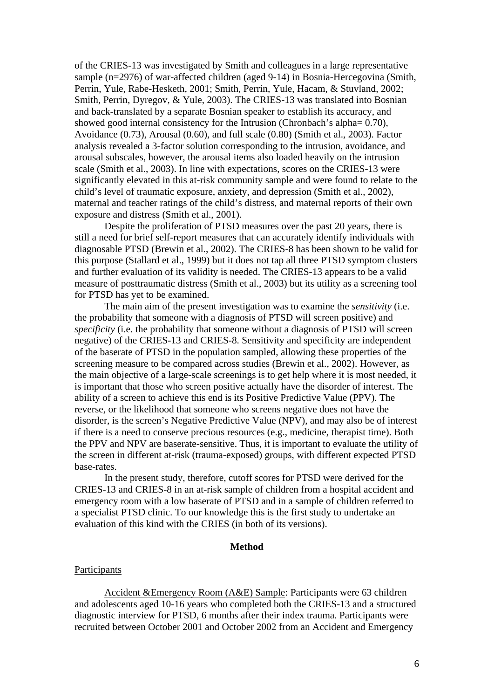of the CRIES-13 was investigated by Smith and colleagues in a large representative sample (n=2976) of war-affected children (aged 9-14) in Bosnia-Hercegovina (Smith, Perrin, Yule, Rabe-Hesketh, 2001; Smith, Perrin, Yule, Hacam, & Stuvland, 2002; Smith, Perrin, Dyregov, & Yule, 2003). The CRIES-13 was translated into Bosnian and back-translated by a separate Bosnian speaker to establish its accuracy, and showed good internal consistency for the Intrusion (Chronbach's alpha= 0.70), Avoidance (0.73), Arousal (0.60), and full scale (0.80) (Smith et al., 2003). Factor analysis revealed a 3-factor solution corresponding to the intrusion, avoidance, and arousal subscales, however, the arousal items also loaded heavily on the intrusion scale (Smith et al., 2003). In line with expectations, scores on the CRIES-13 were significantly elevated in this at-risk community sample and were found to relate to the child's level of traumatic exposure, anxiety, and depression (Smith et al., 2002), maternal and teacher ratings of the child's distress, and maternal reports of their own exposure and distress (Smith et al., 2001).

Despite the proliferation of PTSD measures over the past 20 years, there is still a need for brief self-report measures that can accurately identify individuals with diagnosable PTSD (Brewin et al., 2002). The CRIES-8 has been shown to be valid for this purpose (Stallard et al., 1999) but it does not tap all three PTSD symptom clusters and further evaluation of its validity is needed. The CRIES-13 appears to be a valid measure of posttraumatic distress (Smith et al., 2003) but its utility as a screening tool for PTSD has yet to be examined.

The main aim of the present investigation was to examine the *sensitivity* (i.e. the probability that someone with a diagnosis of PTSD will screen positive) and *specificity* (i.e. the probability that someone without a diagnosis of PTSD will screen negative) of the CRIES-13 and CRIES-8. Sensitivity and specificity are independent of the baserate of PTSD in the population sampled, allowing these properties of the screening measure to be compared across studies (Brewin et al., 2002). However, as the main objective of a large-scale screenings is to get help where it is most needed, it is important that those who screen positive actually have the disorder of interest. The ability of a screen to achieve this end is its Positive Predictive Value (PPV). The reverse, or the likelihood that someone who screens negative does not have the disorder, is the screen's Negative Predictive Value (NPV), and may also be of interest if there is a need to conserve precious resources (e.g., medicine, therapist time). Both the PPV and NPV are baserate-sensitive. Thus, it is important to evaluate the utility of the screen in different at-risk (trauma-exposed) groups, with different expected PTSD base-rates.

In the present study, therefore, cutoff scores for PTSD were derived for the CRIES-13 and CRIES-8 in an at-risk sample of children from a hospital accident and emergency room with a low baserate of PTSD and in a sample of children referred to a specialist PTSD clinic. To our knowledge this is the first study to undertake an evaluation of this kind with the CRIES (in both of its versions).

#### **Method**

# **Participants**

Accident &Emergency Room (A&E) Sample: Participants were 63 children and adolescents aged 10-16 years who completed both the CRIES-13 and a structured diagnostic interview for PTSD, 6 months after their index trauma. Participants were recruited between October 2001 and October 2002 from an Accident and Emergency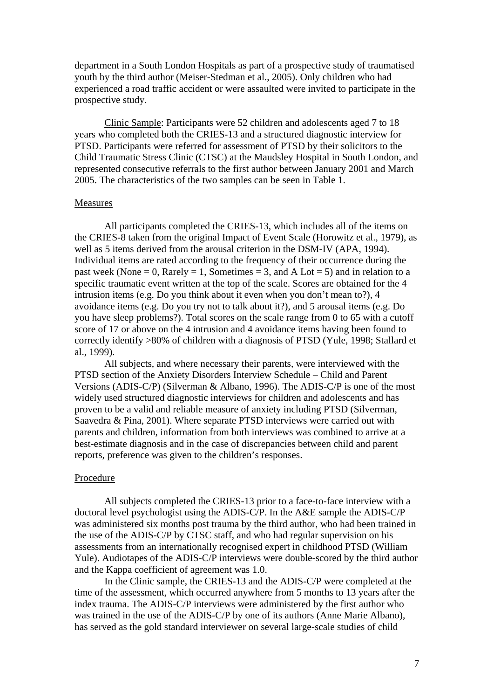department in a South London Hospitals as part of a prospective study of traumatised youth by the third author (Meiser-Stedman et al., 2005). Only children who had experienced a road traffic accident or were assaulted were invited to participate in the prospective study.

Clinic Sample: Participants were 52 children and adolescents aged 7 to 18 years who completed both the CRIES-13 and a structured diagnostic interview for PTSD. Participants were referred for assessment of PTSD by their solicitors to the Child Traumatic Stress Clinic (CTSC) at the Maudsley Hospital in South London, and represented consecutive referrals to the first author between January 2001 and March 2005. The characteristics of the two samples can be seen in Table 1.

## Measures

All participants completed the CRIES-13, which includes all of the items on the CRIES-8 taken from the original Impact of Event Scale (Horowitz et al., 1979), as well as 5 items derived from the arousal criterion in the DSM-IV (APA, 1994). Individual items are rated according to the frequency of their occurrence during the past week (None = 0, Rarely = 1, Sometimes = 3, and A Lot = 5) and in relation to a specific traumatic event written at the top of the scale. Scores are obtained for the 4 intrusion items (e.g. Do you think about it even when you don't mean to?), 4 avoidance items (e.g. Do you try not to talk about it?), and 5 arousal items (e.g. Do you have sleep problems?). Total scores on the scale range from 0 to 65 with a cutoff score of 17 or above on the 4 intrusion and 4 avoidance items having been found to correctly identify >80% of children with a diagnosis of PTSD (Yule, 1998; Stallard et al., 1999).

All subjects, and where necessary their parents, were interviewed with the PTSD section of the Anxiety Disorders Interview Schedule – Child and Parent Versions (ADIS-C/P) (Silverman & Albano, 1996). The ADIS-C/P is one of the most widely used structured diagnostic interviews for children and adolescents and has proven to be a valid and reliable measure of anxiety including PTSD (Silverman, Saavedra & Pina, 2001). Where separate PTSD interviews were carried out with parents and children, information from both interviews was combined to arrive at a best-estimate diagnosis and in the case of discrepancies between child and parent reports, preference was given to the children's responses.

## Procedure

All subjects completed the CRIES-13 prior to a face-to-face interview with a doctoral level psychologist using the ADIS-C/P. In the A&E sample the ADIS-C/P was administered six months post trauma by the third author, who had been trained in the use of the ADIS-C/P by CTSC staff, and who had regular supervision on his assessments from an internationally recognised expert in childhood PTSD (William Yule). Audiotapes of the ADIS-C/P interviews were double-scored by the third author and the Kappa coefficient of agreement was 1.0.

In the Clinic sample, the CRIES-13 and the ADIS-C/P were completed at the time of the assessment, which occurred anywhere from 5 months to 13 years after the index trauma. The ADIS-C/P interviews were administered by the first author who was trained in the use of the ADIS-C/P by one of its authors (Anne Marie Albano), has served as the gold standard interviewer on several large-scale studies of child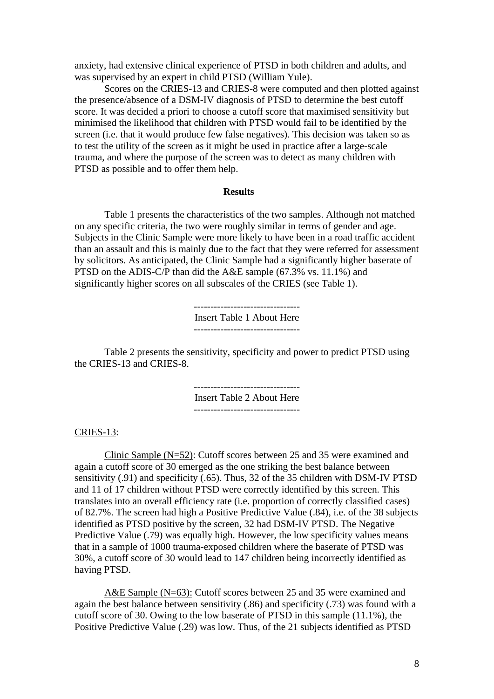anxiety, had extensive clinical experience of PTSD in both children and adults, and was supervised by an expert in child PTSD (William Yule).

Scores on the CRIES-13 and CRIES-8 were computed and then plotted against the presence/absence of a DSM-IV diagnosis of PTSD to determine the best cutoff score. It was decided a priori to choose a cutoff score that maximised sensitivity but minimised the likelihood that children with PTSD would fail to be identified by the screen (i.e. that it would produce few false negatives). This decision was taken so as to test the utility of the screen as it might be used in practice after a large-scale trauma, and where the purpose of the screen was to detect as many children with PTSD as possible and to offer them help.

#### **Results**

Table 1 presents the characteristics of the two samples. Although not matched on any specific criteria, the two were roughly similar in terms of gender and age. Subjects in the Clinic Sample were more likely to have been in a road traffic accident than an assault and this is mainly due to the fact that they were referred for assessment by solicitors. As anticipated, the Clinic Sample had a significantly higher baserate of PTSD on the ADIS-C/P than did the A&E sample (67.3% vs. 11.1%) and significantly higher scores on all subscales of the CRIES (see Table 1).

> -------------------------------- Insert Table 1 About Here --------------------------------

 Table 2 presents the sensitivity, specificity and power to predict PTSD using the CRIES-13 and CRIES-8.

> -------------------------------- Insert Table 2 About Here --------------------------------

CRIES-13:

Clinic Sample (N=52): Cutoff scores between 25 and 35 were examined and again a cutoff score of 30 emerged as the one striking the best balance between sensitivity (.91) and specificity (.65). Thus, 32 of the 35 children with DSM-IV PTSD and 11 of 17 children without PTSD were correctly identified by this screen. This translates into an overall efficiency rate (i.e. proportion of correctly classified cases) of 82.7%. The screen had high a Positive Predictive Value (.84), i.e. of the 38 subjects identified as PTSD positive by the screen, 32 had DSM-IV PTSD. The Negative Predictive Value (.79) was equally high. However, the low specificity values means that in a sample of 1000 trauma-exposed children where the baserate of PTSD was 30%, a cutoff score of 30 would lead to 147 children being incorrectly identified as having PTSD.

A&E Sample (N=63): Cutoff scores between 25 and 35 were examined and again the best balance between sensitivity (.86) and specificity (.73) was found with a cutoff score of 30. Owing to the low baserate of PTSD in this sample (11.1%), the Positive Predictive Value (.29) was low. Thus, of the 21 subjects identified as PTSD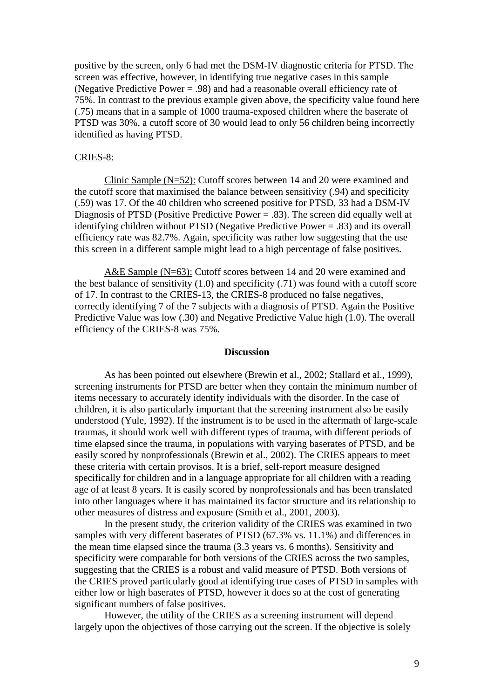positive by the screen, only 6 had met the DSM-IV diagnostic criteria for PTSD. The screen was effective, however, in identifying true negative cases in this sample (Negative Predictive Power = .98) and had a reasonable overall efficiency rate of 75%. In contrast to the previous example given above, the specificity value found here (.75) means that in a sample of 1000 trauma-exposed children where the baserate of PTSD was 30%, a cutoff score of 30 would lead to only 56 children being incorrectly identified as having PTSD.

#### CRIES-8:

Clinic Sample (N=52): Cutoff scores between 14 and 20 were examined and the cutoff score that maximised the balance between sensitivity (.94) and specificity (.59) was 17. Of the 40 children who screened positive for PTSD, 33 had a DSM-IV Diagnosis of PTSD (Positive Predictive Power = .83). The screen did equally well at identifying children without PTSD (Negative Predictive Power = .83) and its overall efficiency rate was 82.7%. Again, specificity was rather low suggesting that the use this screen in a different sample might lead to a high percentage of false positives.

A&E Sample (N=63): Cutoff scores between 14 and 20 were examined and the best balance of sensitivity (1.0) and specificity (.71) was found with a cutoff score of 17. In contrast to the CRIES-13, the CRIES-8 produced no false negatives, correctly identifying 7 of the 7 subjects with a diagnosis of PTSD. Again the Positive Predictive Value was low (.30) and Negative Predictive Value high (1.0). The overall efficiency of the CRIES-8 was 75%.

#### **Discussion**

As has been pointed out elsewhere (Brewin et al., 2002; Stallard et al., 1999), screening instruments for PTSD are better when they contain the minimum number of items necessary to accurately identify individuals with the disorder. In the case of children, it is also particularly important that the screening instrument also be easily understood (Yule, 1992). If the instrument is to be used in the aftermath of large-scale traumas, it should work well with different types of trauma, with different periods of time elapsed since the trauma, in populations with varying baserates of PTSD, and be easily scored by nonprofessionals (Brewin et al., 2002). The CRIES appears to meet these criteria with certain provisos. It is a brief, self-report measure designed specifically for children and in a language appropriate for all children with a reading age of at least 8 years. It is easily scored by nonprofessionals and has been translated into other languages where it has maintained its factor structure and its relationship to other measures of distress and exposure (Smith et al., 2001, 2003).

In the present study, the criterion validity of the CRIES was examined in two samples with very different baserates of PTSD (67.3% vs. 11.1%) and differences in the mean time elapsed since the trauma (3.3 years vs. 6 months). Sensitivity and specificity were comparable for both versions of the CRIES across the two samples, suggesting that the CRIES is a robust and valid measure of PTSD. Both versions of the CRIES proved particularly good at identifying true cases of PTSD in samples with either low or high baserates of PTSD, however it does so at the cost of generating significant numbers of false positives.

However, the utility of the CRIES as a screening instrument will depend largely upon the objectives of those carrying out the screen. If the objective is solely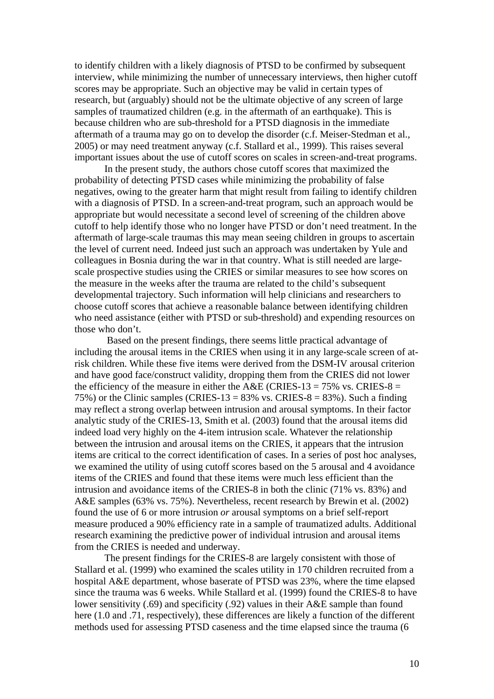to identify children with a likely diagnosis of PTSD to be confirmed by subsequent interview, while minimizing the number of unnecessary interviews, then higher cutoff scores may be appropriate. Such an objective may be valid in certain types of research, but (arguably) should not be the ultimate objective of any screen of large samples of traumatized children (e.g. in the aftermath of an earthquake). This is because children who are sub-threshold for a PTSD diagnosis in the immediate aftermath of a trauma may go on to develop the disorder (c.f. Meiser-Stedman et al., 2005) or may need treatment anyway (c.f. Stallard et al., 1999). This raises several important issues about the use of cutoff scores on scales in screen-and-treat programs.

In the present study, the authors chose cutoff scores that maximized the probability of detecting PTSD cases while minimizing the probability of false negatives, owing to the greater harm that might result from failing to identify children with a diagnosis of PTSD. In a screen-and-treat program, such an approach would be appropriate but would necessitate a second level of screening of the children above cutoff to help identify those who no longer have PTSD or don't need treatment. In the aftermath of large-scale traumas this may mean seeing children in groups to ascertain the level of current need. Indeed just such an approach was undertaken by Yule and colleagues in Bosnia during the war in that country. What is still needed are largescale prospective studies using the CRIES or similar measures to see how scores on the measure in the weeks after the trauma are related to the child's subsequent developmental trajectory. Such information will help clinicians and researchers to choose cutoff scores that achieve a reasonable balance between identifying children who need assistance (either with PTSD or sub-threshold) and expending resources on those who don't.

 Based on the present findings, there seems little practical advantage of including the arousal items in the CRIES when using it in any large-scale screen of atrisk children. While these five items were derived from the DSM-IV arousal criterion and have good face/construct validity, dropping them from the CRIES did not lower the efficiency of the measure in either the A&E (CRIES-13 = 75% vs. CRIES-8 = 75%) or the Clinic samples (CRIES-13 =  $83\%$  vs. CRIES-8 =  $83\%$ ). Such a finding may reflect a strong overlap between intrusion and arousal symptoms. In their factor analytic study of the CRIES-13, Smith et al. (2003) found that the arousal items did indeed load very highly on the 4-item intrusion scale. Whatever the relationship between the intrusion and arousal items on the CRIES, it appears that the intrusion items are critical to the correct identification of cases. In a series of post hoc analyses, we examined the utility of using cutoff scores based on the 5 arousal and 4 avoidance items of the CRIES and found that these items were much less efficient than the intrusion and avoidance items of the CRIES-8 in both the clinic (71% vs. 83%) and A&E samples (63% vs. 75%). Nevertheless, recent research by Brewin et al. (2002) found the use of 6 or more intrusion *or* arousal symptoms on a brief self-report measure produced a 90% efficiency rate in a sample of traumatized adults. Additional research examining the predictive power of individual intrusion and arousal items from the CRIES is needed and underway.

The present findings for the CRIES-8 are largely consistent with those of Stallard et al. (1999) who examined the scales utility in 170 children recruited from a hospital A&E department, whose baserate of PTSD was 23%, where the time elapsed since the trauma was 6 weeks. While Stallard et al. (1999) found the CRIES-8 to have lower sensitivity (.69) and specificity (.92) values in their A&E sample than found here (1.0 and .71, respectively), these differences are likely a function of the different methods used for assessing PTSD caseness and the time elapsed since the trauma (6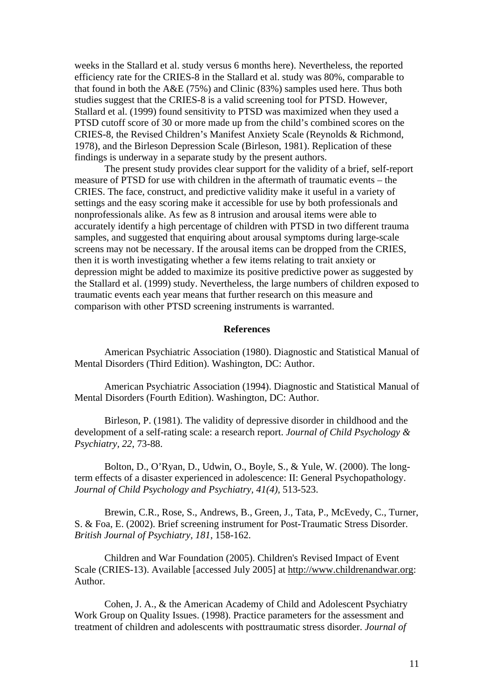weeks in the Stallard et al. study versus 6 months here). Nevertheless, the reported efficiency rate for the CRIES-8 in the Stallard et al. study was 80%, comparable to that found in both the A&E (75%) and Clinic (83%) samples used here. Thus both studies suggest that the CRIES-8 is a valid screening tool for PTSD. However, Stallard et al. (1999) found sensitivity to PTSD was maximized when they used a PTSD cutoff score of 30 or more made up from the child's combined scores on the CRIES-8, the Revised Children's Manifest Anxiety Scale (Reynolds & Richmond, 1978), and the Birleson Depression Scale (Birleson, 1981). Replication of these findings is underway in a separate study by the present authors.

The present study provides clear support for the validity of a brief, self-report measure of PTSD for use with children in the aftermath of traumatic events – the CRIES. The face, construct, and predictive validity make it useful in a variety of settings and the easy scoring make it accessible for use by both professionals and nonprofessionals alike. As few as 8 intrusion and arousal items were able to accurately identify a high percentage of children with PTSD in two different trauma samples, and suggested that enquiring about arousal symptoms during large-scale screens may not be necessary. If the arousal items can be dropped from the CRIES, then it is worth investigating whether a few items relating to trait anxiety or depression might be added to maximize its positive predictive power as suggested by the Stallard et al. (1999) study. Nevertheless, the large numbers of children exposed to traumatic events each year means that further research on this measure and comparison with other PTSD screening instruments is warranted.

#### **References**

American Psychiatric Association (1980). Diagnostic and Statistical Manual of Mental Disorders (Third Edition). Washington, DC: Author.

American Psychiatric Association (1994). Diagnostic and Statistical Manual of Mental Disorders (Fourth Edition). Washington, DC: Author.

 Birleson, P. (1981). The validity of depressive disorder in childhood and the development of a self-rating scale: a research report. *Journal of Child Psychology & Psychiatry, 22*, 73-88.

 Bolton, D., O'Ryan, D., Udwin, O., Boyle, S., & Yule, W. (2000). The longterm effects of a disaster experienced in adolescence: II: General Psychopathology. *Journal of Child Psychology and Psychiatry, 41(4),* 513-523.

Brewin, C.R., Rose, S., Andrews, B., Green, J., Tata, P., McEvedy, C., Turner, S. & Foa, E. (2002). Brief screening instrument for Post-Traumatic Stress Disorder. *British Journal of Psychiatry, 181*, 158-162.

Children and War Foundation (2005). Children's Revised Impact of Event Scale (CRIES-13). Available [accessed July 2005] at http://www.childrenandwar.org: Author.

Cohen, J. A., & the American Academy of Child and Adolescent Psychiatry Work Group on Quality Issues. (1998). Practice parameters for the assessment and treatment of children and adolescents with posttraumatic stress disorder. *Journal of*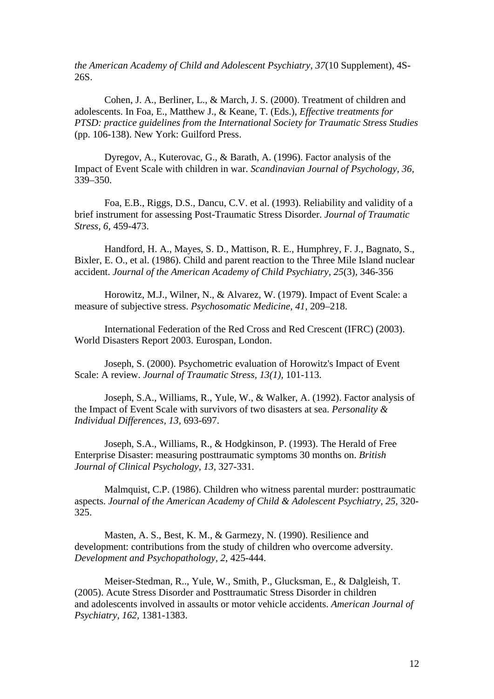*the American Academy of Child and Adolescent Psychiatry, 37*(10 Supplement), 4S-26S.

Cohen, J. A., Berliner, L., & March, J. S. (2000). Treatment of children and adolescents. In Foa, E., Matthew J., & Keane, T. (Eds.), *Effective treatments for PTSD: practice guidelines from the International Society for Traumatic Stress Studies* (pp. 106-138). New York: Guilford Press.

Dyregov, A., Kuterovac, G., & Barath, A. (1996). Factor analysis of the Impact of Event Scale with children in war. *Scandinavian Journal of Psychology, 36,* 339–350.

Foa, E.B., Riggs, D.S., Dancu, C.V. et al. (1993). Reliability and validity of a brief instrument for assessing Post-Traumatic Stress Disorder. *Journal of Traumatic Stress, 6,* 459-473.

 Handford, H. A., Mayes, S. D., Mattison, R. E., Humphrey, F. J., Bagnato, S., Bixler, E. O., et al. (1986). Child and parent reaction to the Three Mile Island nuclear accident. *Journal of the American Academy of Child Psychiatry, 25*(3), 346-356

Horowitz, M.J., Wilner, N., & Alvarez, W. (1979). Impact of Event Scale: a measure of subjective stress. *Psychosomatic Medicine, 41,* 209–218.

International Federation of the Red Cross and Red Crescent (IFRC) (2003). World Disasters Report 2003. Eurospan, London.

 Joseph, S. (2000). Psychometric evaluation of Horowitz's Impact of Event Scale: A review. *Journal of Traumatic Stress, 13(1),* 101-113.

Joseph, S.A., Williams, R., Yule, W., & Walker, A. (1992). Factor analysis of the Impact of Event Scale with survivors of two disasters at sea. *Personality & Individual Differences, 13,* 693-697.

Joseph, S.A., Williams, R., & Hodgkinson, P. (1993). The Herald of Free Enterprise Disaster: measuring posttraumatic symptoms 30 months on. *British Journal of Clinical Psychology, 13,* 327-331.

 Malmquist, C.P. (1986). Children who witness parental murder: posttraumatic aspects. *Journal of the American Academy of Child & Adolescent Psychiatry, 25, 320-*325.

Masten, A. S., Best, K. M., & Garmezy, N. (1990). Resilience and development: contributions from the study of children who overcome adversity. *Development and Psychopathology, 2*, 425-444.

Meiser-Stedman, R.., Yule, W., Smith, P., Glucksman, E., & Dalgleish, T. (2005). Acute Stress Disorder and Posttraumatic Stress Disorder in children and adolescents involved in assaults or motor vehicle accidents. *American Journal of Psychiatry, 162,* 1381-1383.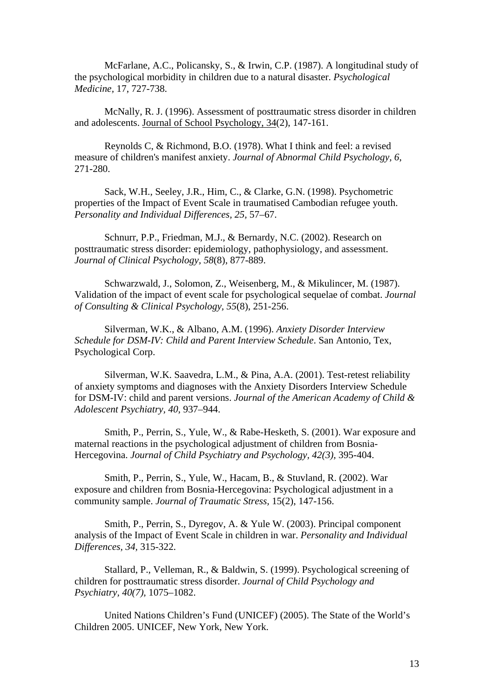McFarlane, A.C., Policansky, S., & Irwin, C.P. (1987). A longitudinal study of the psychological morbidity in children due to a natural disaster. *Psychological Medicine,* 17, 727-738.

 McNally, R. J. (1996). Assessment of posttraumatic stress disorder in children and adolescents. Journal of School Psychology, 34(2), 147-161.

Reynolds C, & Richmond, B.O. (1978). What I think and feel: a revised measure of children's manifest anxiety. *Journal of Abnormal Child Psychology, 6*, 271-280.

 Sack, W.H., Seeley, J.R., Him, C., & Clarke, G.N. (1998). Psychometric properties of the Impact of Event Scale in traumatised Cambodian refugee youth. *Personality and Individual Differences, 25,* 57–67.

Schnurr, P.P., Friedman, M.J., & Bernardy, N.C. (2002). Research on posttraumatic stress disorder: epidemiology, pathophysiology, and assessment. *Journal of Clinical Psychology, 58*(8), 877-889.

Schwarzwald, J., Solomon, Z., Weisenberg, M., & Mikulincer, M. (1987). Validation of the impact of event scale for psychological sequelae of combat. *Journal of Consulting & Clinical Psychology, 55*(8), 251-256.

Silverman, W.K., & Albano, A.M. (1996). *Anxiety Disorder Interview Schedule for DSM-IV: Child and Parent Interview Schedule*. San Antonio, Tex, Psychological Corp.

Silverman, W.K. Saavedra, L.M., & Pina, A.A. (2001). Test-retest reliability of anxiety symptoms and diagnoses with the Anxiety Disorders Interview Schedule for DSM-IV: child and parent versions. *Journal of the American Academy of Child & Adolescent Psychiatry, 40*, 937–944.

 Smith, P., Perrin, S., Yule, W., & Rabe-Hesketh, S. (2001). War exposure and maternal reactions in the psychological adjustment of children from Bosnia-Hercegovina. *Journal of Child Psychiatry and Psychology, 42(3),* 395-404.

 Smith, P., Perrin, S., Yule, W., Hacam, B., & Stuvland, R. (2002). War exposure and children from Bosnia-Hercegovina: Psychological adjustment in a community sample. *Journal of Traumatic Stress,* 15(2), 147-156.

 Smith, P., Perrin, S., Dyregov, A. & Yule W. (2003). Principal component analysis of the Impact of Event Scale in children in war. *Personality and Individual Differences, 34,* 315-322.

Stallard, P., Velleman, R., & Baldwin, S. (1999). Psychological screening of children for posttraumatic stress disorder. *Journal of Child Psychology and Psychiatry, 40(7),* 1075–1082.

United Nations Children's Fund (UNICEF) (2005). The State of the World's Children 2005. UNICEF, New York, New York.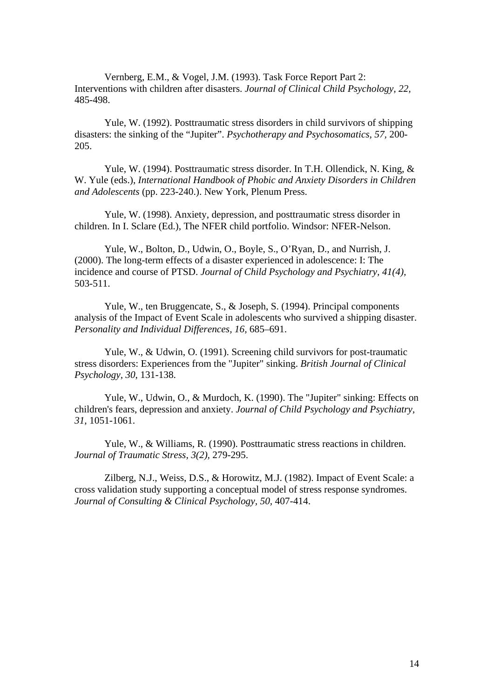Vernberg, E.M., & Vogel, J.M. (1993). Task Force Report Part 2: Interventions with children after disasters. *Journal of Clinical Child Psychology, 22,*  485-498.

Yule, W. (1992). Posttraumatic stress disorders in child survivors of shipping disasters: the sinking of the "Jupiter". *Psychotherapy and Psychosomatics, 57,* 200- 205.

Yule, W. (1994). Posttraumatic stress disorder. In T.H. Ollendick, N. King, & W. Yule (eds.), *International Handbook of Phobic and Anxiety Disorders in Children and Adolescents* (pp. 223-240.). New York, Plenum Press.

Yule, W. (1998). Anxiety, depression, and posttraumatic stress disorder in children. In I. Sclare (Ed.), The NFER child portfolio. Windsor: NFER-Nelson.

 Yule, W., Bolton, D., Udwin, O., Boyle, S., O'Ryan, D., and Nurrish, J. (2000). The long-term effects of a disaster experienced in adolescence: I: The incidence and course of PTSD. *Journal of Child Psychology and Psychiatry, 41(4),*  503-511.

Yule, W., ten Bruggencate, S., & Joseph, S. (1994). Principal components analysis of the Impact of Event Scale in adolescents who survived a shipping disaster. *Personality and Individual Differences, 16,* 685–691.

Yule, W., & Udwin, O. (1991). Screening child survivors for post-traumatic stress disorders: Experiences from the "Jupiter" sinking. *British Journal of Clinical Psychology, 30*, 131-138.

Yule, W., Udwin, O., & Murdoch, K. (1990). The "Jupiter" sinking: Effects on children's fears, depression and anxiety. *Journal of Child Psychology and Psychiatry, 31*, 1051-1061.

Yule, W., & Williams, R. (1990). Posttraumatic stress reactions in children. *Journal of Traumatic Stress, 3(2),* 279-295.

Zilberg, N.J., Weiss, D.S., & Horowitz, M.J. (1982). Impact of Event Scale: a cross validation study supporting a conceptual model of stress response syndromes. *Journal of Consulting & Clinical Psychology, 50,* 407-414.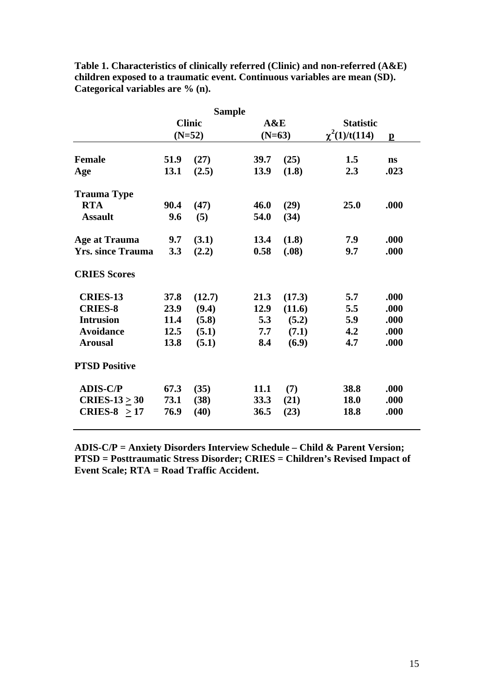|                          |               | <b>Sample</b> |             |        |                    |                         |
|--------------------------|---------------|---------------|-------------|--------|--------------------|-------------------------|
|                          | <b>Clinic</b> |               | A&E         |        | <b>Statistic</b>   |                         |
|                          |               | $(N=52)$      | $(N=63)$    |        | $\chi^2(1)/t(114)$ | $\overline{\mathbf{p}}$ |
| <b>Female</b>            | 51.9          | (27)          | 39.7        | (25)   | 1.5                | $\mathbf{n}$ s          |
| Age                      | 13.1          | (2.5)         | 13.9        | (1.8)  | 2.3                | .023                    |
| <b>Trauma Type</b>       |               |               |             |        |                    |                         |
| <b>RTA</b>               | 90.4          | (47)          | 46.0        | (29)   | 25.0               | .000                    |
| <b>Assault</b>           | 9.6           | (5)           | 54.0        | (34)   |                    |                         |
| <b>Age at Trauma</b>     | 9.7           | (3.1)         | 13.4        | (1.8)  | 7.9                | .000                    |
| <b>Yrs. since Trauma</b> | 3.3           | (2.2)         | 0.58        | (.08)  | 9.7                | .000                    |
| <b>CRIES Scores</b>      |               |               |             |        |                    |                         |
| <b>CRIES-13</b>          | 37.8          | (12.7)        | 21.3        | (17.3) | 5.7                | .000                    |
| <b>CRIES-8</b>           | 23.9          | (9.4)         | 12.9        | (11.6) | 5.5                | .000                    |
| <b>Intrusion</b>         | 11.4          | (5.8)         | 5.3         | (5.2)  | 5.9                | .000                    |
| <b>Avoidance</b>         | 12.5          | (5.1)         | 7.7         | (7.1)  | 4.2                | .000                    |
| <b>Arousal</b>           | 13.8          | (5.1)         | 8.4         | (6.9)  | 4.7                | .000                    |
| <b>PTSD Positive</b>     |               |               |             |        |                    |                         |
| <b>ADIS-C/P</b>          | 67.3          | (35)          | 11.1        | (7)    | 38.8               | .000                    |
| CRIES-13 $\geq$ 30       | 73.1          | (38)          | <b>33.3</b> | (21)   | <b>18.0</b>        | .000                    |
| CRIES-8 $\geq$ 17        | 76.9          | (40)          | 36.5        | (23)   | 18.8               | .000                    |
|                          |               |               |             |        |                    |                         |

**Table 1. Characteristics of clinically referred (Clinic) and non-referred (A&E) children exposed to a traumatic event. Continuous variables are mean (SD). Categorical variables are % (n).** 

**ADIS-C/P = Anxiety Disorders Interview Schedule – Child & Parent Version; PTSD = Posttraumatic Stress Disorder; CRIES = Children's Revised Impact of Event Scale; RTA = Road Traffic Accident.**